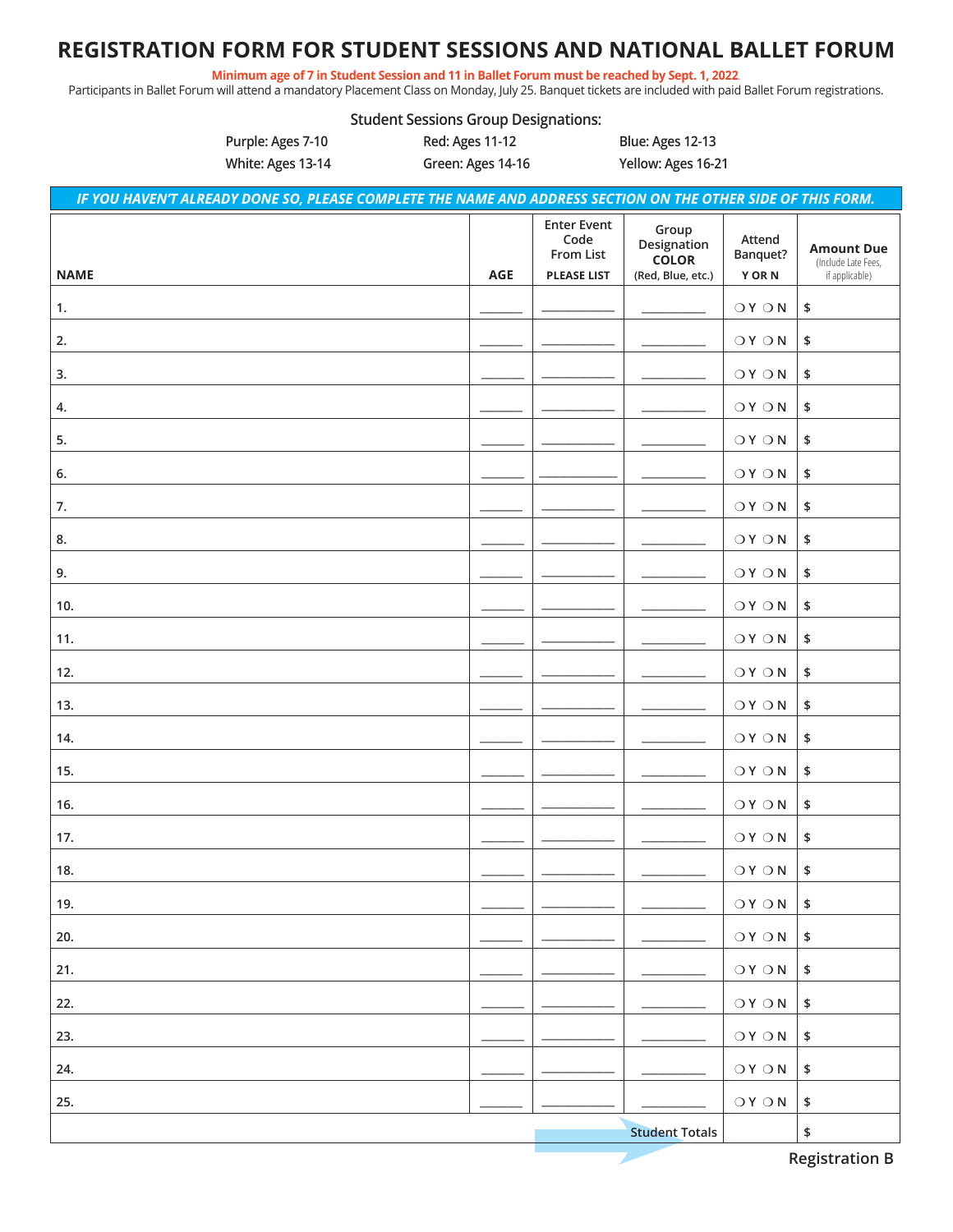### **REGISTRATION FORM FOR STUDENT SESSIONS AND NATIONAL BALLET FORUM**

Minimum age of 7 in Student Session and 11 in Ballet Forum must be reached by Sept. 1, 2022.

**Student Sessions Group Designations:**

Participants in Ballet Forum will attend a mandatory Placement Class on Monday, July 25. Banquet tickets are included with paid Ballet Forum registrations.

|             | Purple: Ages 7-10<br>White: Ages 13-14                                                                       | Red: Ages 11-12<br>Green: Ages 14-16 |                                                               | Blue: Ages 12-13<br>Yellow: Ages 16-21                    |                                   |                                                            |
|-------------|--------------------------------------------------------------------------------------------------------------|--------------------------------------|---------------------------------------------------------------|-----------------------------------------------------------|-----------------------------------|------------------------------------------------------------|
|             | IF YOU HAVEN'T ALREADY DONE SO, PLEASE COMPLETE THE NAME AND ADDRESS SECTION ON THE OTHER SIDE OF THIS FORM. |                                      |                                                               |                                                           |                                   |                                                            |
| <b>NAME</b> |                                                                                                              | <b>AGE</b>                           | <b>Enter Event</b><br>Code<br>From List<br><b>PLEASE LIST</b> | Group<br>Designation<br><b>COLOR</b><br>(Red, Blue, etc.) | Attend<br>Banquet?<br><b>YORN</b> | <b>Amount Due</b><br>(Include Late Fees,<br>if applicable) |
| 1.          |                                                                                                              |                                      |                                                               |                                                           | $\bigcirc Y \bigcirc N$           | \$                                                         |
| 2.          |                                                                                                              |                                      |                                                               |                                                           | $\bigcirc Y \bigcirc N$           | \$                                                         |
| 3.          |                                                                                                              |                                      |                                                               |                                                           | $OY$ $O N$                        | $\pmb{\$}$                                                 |
| 4.          |                                                                                                              |                                      |                                                               |                                                           | $\bigcirc Y \bigcirc N$           | \$                                                         |
| 5.          |                                                                                                              |                                      |                                                               |                                                           | $\bigcirc Y \bigcirc N$           | \$                                                         |
| 6.          |                                                                                                              |                                      |                                                               |                                                           | $\bigcirc Y \bigcirc N$           | \$                                                         |
| 7.          |                                                                                                              |                                      |                                                               |                                                           | $\bigcirc Y \bigcirc N$           | \$                                                         |
| 8.          |                                                                                                              |                                      |                                                               |                                                           | $\bigcirc Y \bigcirc N$           | \$                                                         |
| 9.          |                                                                                                              |                                      |                                                               |                                                           | $\bigcirc Y \bigcirc N$           | \$                                                         |
| 10.         |                                                                                                              |                                      |                                                               |                                                           | $\bigcirc Y \bigcirc N$           | \$                                                         |
| 11.         |                                                                                                              |                                      |                                                               |                                                           | $\bigcirc Y \bigcirc N$           | \$                                                         |
| 12.         |                                                                                                              |                                      |                                                               |                                                           | $OY$ $O N$                        | \$                                                         |
| 13.         |                                                                                                              |                                      |                                                               |                                                           | $\bigcirc Y \bigcirc N$           | \$                                                         |
| 14.         |                                                                                                              |                                      |                                                               |                                                           | $OY$ $O N$                        | \$                                                         |
| 15.         |                                                                                                              |                                      |                                                               |                                                           | $\bigcirc Y \bigcirc N$           | \$                                                         |
| 16.         |                                                                                                              |                                      |                                                               |                                                           | $OY$ $O N$                        | \$                                                         |
| 17.         |                                                                                                              |                                      |                                                               |                                                           | $O(Y \cap N)$                     | \$                                                         |
| 18.         |                                                                                                              |                                      |                                                               |                                                           | $\bigcirc Y \bigcirc N$           | $\pmb{\mathfrak{s}}$                                       |
| 19.         |                                                                                                              |                                      |                                                               |                                                           | $\bigcirc Y \bigcirc N$           | $\pmb{\mathfrak{s}}$                                       |
| 20.         |                                                                                                              |                                      |                                                               |                                                           | $OY$ $O N$                        | \$                                                         |
| 21.         |                                                                                                              |                                      |                                                               |                                                           | $OY$ $O N$                        | \$                                                         |
| 22.         |                                                                                                              |                                      |                                                               |                                                           | $\bigcirc Y \bigcirc N$           | \$                                                         |
| 23.         |                                                                                                              |                                      |                                                               |                                                           | $\bigcirc Y \bigcirc N$           | $\pmb{\mathsf{\$}}$                                        |
| 24.         |                                                                                                              |                                      |                                                               |                                                           | $\bigcirc Y \bigcirc N$           | \$                                                         |
| 25.         |                                                                                                              |                                      |                                                               |                                                           | $\bigcirc Y \bigcirc N$           | \$                                                         |
|             |                                                                                                              |                                      |                                                               | <b>Student Totals</b>                                     |                                   | \$<br><b>Registration B</b>                                |